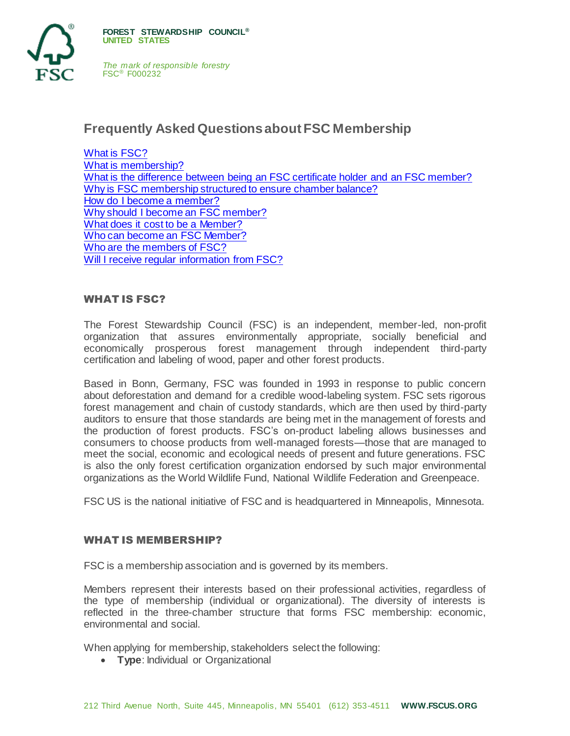

# **Frequently Asked Questions about FSC Membership**

[What is FSC?](#page-0-0) [What is membership?](#page-0-1) [What is the difference between being an FSC certificate holder and an FSC member?](#page-1-0) [Why is FSC membership structured to ensure chamber balance?](#page-2-0) [How do I become a member?](#page-2-1) [Why should I become an FSC member?](#page-2-2) [What does it cost to be a Member?](#page-2-3) [Who can become an FSC Member?](#page-4-0) [Who are the members of](#page-4-1) FSC? [Will I receive regular information from FSC?](#page-4-2)

#### <span id="page-0-0"></span>WHAT IS FSC?

The Forest Stewardship Council (FSC) is an independent, member-led, non-profit organization that assures environmentally appropriate, socially beneficial and economically prosperous forest management through independent third-party certification and labeling of wood, paper and other forest products.

Based in Bonn, Germany, FSC was founded in 1993 in response to public concern about deforestation and demand for a credible wood-labeling system. FSC sets rigorous forest management and chain of custody standards, which are then used by third-party auditors to ensure that those standards are being met in the management of forests and the production of forest products. FSC's on-product labeling allows businesses and consumers to choose products from well-managed forests—those that are managed to meet the social, economic and ecological needs of present and future generations. FSC is also the only forest certification organization endorsed by such major environmental organizations as the World Wildlife Fund, National Wildlife Federation and Greenpeace.

FSC US is the national initiative of FSC and is headquartered in Minneapolis, Minnesota.

#### <span id="page-0-1"></span>WHAT IS MEMBERSHIP?

FSC is a membership association and is governed by its members.

Members represent their interests based on their professional activities, regardless of the type of membership (individual or organizational). The diversity of interests is reflected in the three-chamber structure that forms FSC membership: economic, environmental and social.

When applying for membership, stakeholders select the following:

**• Type: Individual or Organizational**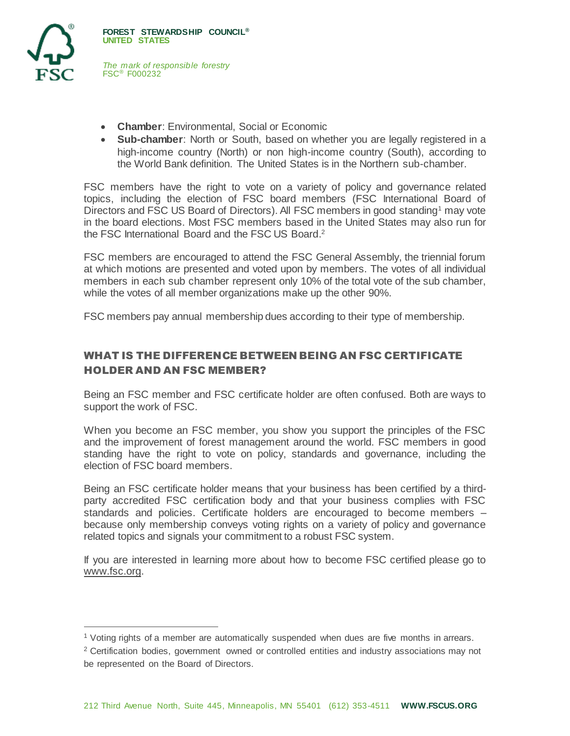

l

*The mark of responsible forestry* FSC® F000232

- **Chamber**: Environmental, Social or Economic
- **Sub-chamber**: North or South, based on whether you are legally registered in a high-income country (North) or non high-income country (South), according to the World Bank definition. The United States is in the Northern sub-chamber.

FSC members have the right to vote on a variety of policy and governance related topics, including the election of FSC board members (FSC International Board of Directors and FSC US Board of Directors). All FSC members in good standing<sup>1</sup> may vote in the board elections. Most FSC members based in the United States may also run for the FSC International Board and the FSC US Board.<sup>2</sup>

FSC members are encouraged to attend the FSC General Assembly, the triennial forum at which motions are presented and voted upon by members. The votes of all individual members in each sub chamber represent only 10% of the total vote of the sub chamber, while the votes of all member organizations make up the other 90%.

FSC members pay annual membership dues according to their type of membership.

# <span id="page-1-0"></span>WHAT IS THE DIFFERENCE BETWEEN BEING AN FSC CERTIFICATE HOLDER AND AN FSC MEMBER?

Being an FSC member and FSC certificate holder are often confused. Both are ways to support the work of FSC.

When you become an FSC member, you show you support the principles of the FSC and the improvement of forest management around the world. FSC members in good standing have the right to vote on policy, standards and governance, including the election of FSC board members.

Being an FSC certificate holder means that your business has been certified by a thirdparty accredited FSC certification body and that your business complies with FSC standards and policies. Certificate holders are encouraged to become members – because only membership conveys voting rights on a variety of policy and governance related topics and signals your commitment to a robust FSC system.

If you are interested in learning more about how to become FSC certified please go to [www.fsc.org.](http://www.fsc.org/)

<sup>1</sup> Voting rights of a member are automatically suspended when dues are five months in arrears.

<sup>&</sup>lt;sup>2</sup> Certification bodies, government owned or controlled entities and industry associations may not be represented on the Board of Directors.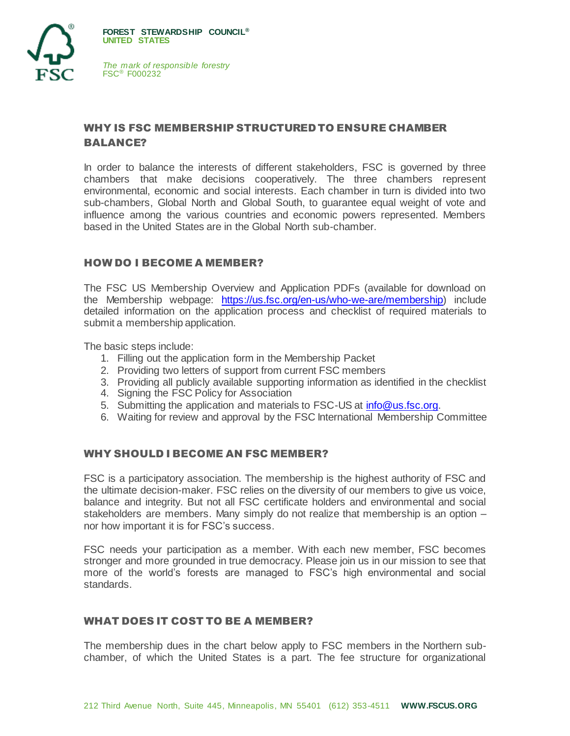

# <span id="page-2-0"></span>WHY IS FSC MEMBERSHIP STRUCTURED TO ENSURE CHAMBER BALANCE?

In order to balance the interests of different stakeholders, FSC is governed by three chambers that make decisions cooperatively. The three chambers represent environmental, economic and social interests. Each chamber in turn is divided into two sub-chambers, Global North and Global South, to guarantee equal weight of vote and influence among the various countries and economic powers represented. Members based in the United States are in the Global North sub-chamber.

## <span id="page-2-1"></span>HOW DO I BECOME A MEMBER?

The FSC US Membership Overview and Application PDFs (available for download on the Membership webpage: [https://us.fsc.org/en-us/who-we-are/membership\)](https://us.fsc.org/en-us/who-we-are/membership) include detailed information on the application process and checklist of required materials to submit a membership application.

The basic steps include:

- 1. Filling out the application form in the Membership Packet
- 2. Providing two letters of support from current FSC members
- 3. Providing all publicly available supporting information as identified in the checklist
- 4. Signing the FSC Policy for Association
- 5. Submitting the application and materials to FSC-US at [info@us.fsc.org.](mailto:info@us.fsc.org)
- 6. Waiting for review and approval by the FSC International Membership Committee

#### <span id="page-2-2"></span>WHY SHOULD I BECOME AN FSC MEMBER?

FSC is a participatory association. The membership is the highest authority of FSC and the ultimate decision-maker. FSC relies on the diversity of our members to give us voice, balance and integrity. But not all FSC certificate holders and environmental and social stakeholders are members. Many simply do not realize that membership is an option – nor how important it is for FSC's success.

FSC needs your participation as a member. With each new member, FSC becomes stronger and more grounded in true democracy. Please join us in our mission to see that more of the world's forests are managed to FSC's high environmental and social standards.

#### <span id="page-2-3"></span>WHAT DOES IT COST TO BE A MEMBER?

The membership dues in the chart below apply to FSC members in the Northern subchamber, of which the United States is a part. The fee structure for organizational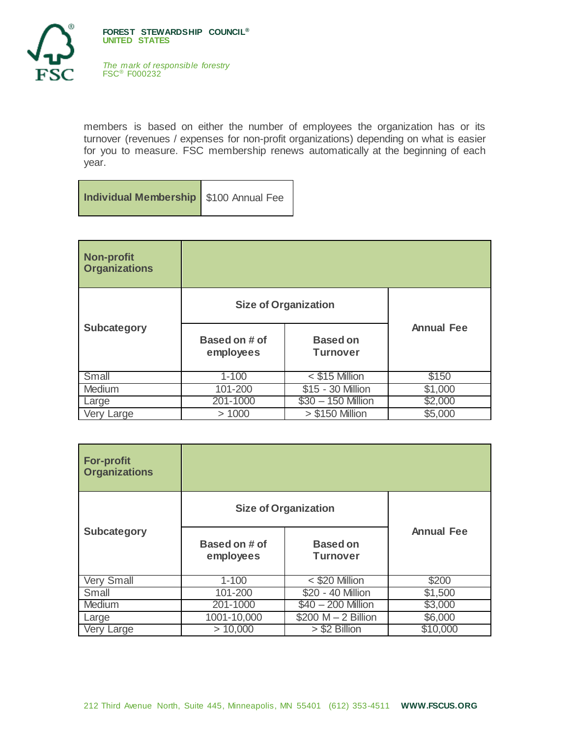

members is based on either the number of employees the organization has or its turnover (revenues / expenses for non-profit organizations) depending on what is easier for you to measure. FSC membership renews automatically at the beginning of each year.

**Individual Membership** \$100 Annual Fee

| <b>Non-profit</b><br><b>Organizations</b> |                             |                                    |                   |
|-------------------------------------------|-----------------------------|------------------------------------|-------------------|
| <b>Subcategory</b>                        | <b>Size of Organization</b> |                                    |                   |
|                                           | Based on # of<br>employees  | <b>Based on</b><br><b>Turnover</b> | <b>Annual Fee</b> |
| Small                                     | $1 - 100$                   | $<$ \$15 Million                   | \$150             |
| Medium                                    | 101-200                     | \$15 - 30 Million                  | \$1,000           |
| Large                                     | 201-1000                    | $$30 - 150$ Million                | \$2,000           |
| Very Large                                | >1000                       | $> $150$ Million                   | \$5,000           |

| <b>For-profit</b><br><b>Organizations</b> |                             |                                    |                   |
|-------------------------------------------|-----------------------------|------------------------------------|-------------------|
| <b>Subcategory</b>                        | <b>Size of Organization</b> |                                    |                   |
|                                           | Based on # of<br>employees  | <b>Based on</b><br><b>Turnover</b> | <b>Annual Fee</b> |
| Very Small                                | $1 - 100$                   | < \$20 Million                     | \$200             |
| Small                                     | 101-200                     | \$20 - 40 Million                  | \$1,500           |
| Medium                                    | 201-1000                    | \$40 - 200 Million                 | \$3,000           |
| Large                                     | 1001-10,000                 | $$200 M - 2$ Billion               | \$6,000           |
| Very Large                                | > 10,000                    | > \$2 Billion                      | \$10,000          |